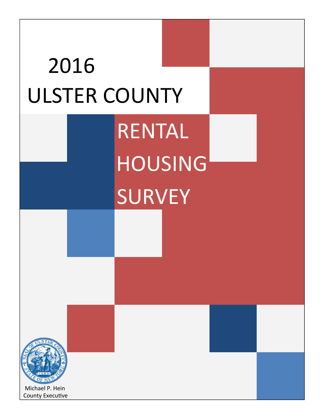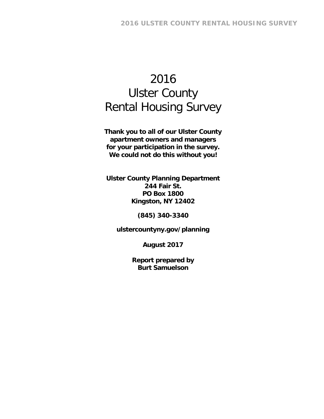# 2016 Ulster County Rental Housing Survey

**Thank you to all of our Ulster County apartment owners and managers for your participation in the survey. We could not do this without you!** 

**Ulster County Planning Department 244 Fair St. PO Box 1800 Kingston, NY 12402** 

**(845) 340-3340** 

**ulstercountyny.gov/planning** 

**August 2017** 

**Report prepared by Burt Samuelson**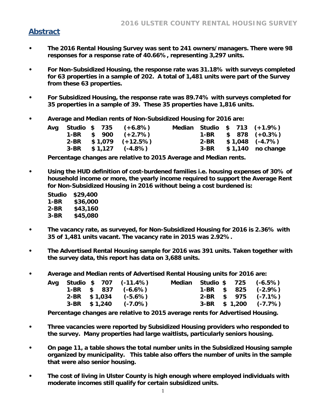## **Abstract**

- **The 2016 Rental Housing Survey was sent to 241 owners/managers. There were 98 responses for a response rate of 40.66%, representing 3,297 units.**
- **For Non-Subsidized Housing, the response rate was 31.18% with surveys completed for 63 properties in a sample of 202. A total of 1,481 units were part of the Survey from these 63 properties.**
- **For Subsidized Housing, the response rate was 89.74% with surveys completed for 35 properties in a sample of 39. These 35 properties have 1,816 units.**
- **Average and Median rents of Non-Subsidized Housing for 2016 are:**

|  |  | Avg Studio \$ 735 (+6.8%) |  |  | Median Studio \$ 713 (+1.9%) |
|--|--|---------------------------|--|--|------------------------------|
|  |  | 1-BR $$900 (+2.7%)$       |  |  | 1-BR $$878 (+0.3%)$          |
|  |  | $2-BR$ \$1,079 (+12.5%)   |  |  | $2-BR$ \$1,048 (-4.7%)       |
|  |  | $3-BR$ \$1,127 (-4.8%)    |  |  | $3-BR$ \$1,140 no change     |

**Percentage changes are relative to 2015 Average and Median rents.** 

- **Using the HUD definition of cost-burdened families i.e. housing expenses of 30% of household income or more, the yearly income required to support the Average Rent for Non-Subsidized Housing in 2016 without being a cost burdened is:** 
	- **Studio \$29,400 1-BR \$36,000 2-BR \$43,160 3-BR \$45,080**
- **The vacancy rate, as surveyed, for Non-Subsidized Housing for 2016 is 2.36% with 35 of 1,481 units vacant. The vacancy rate in 2015 was 2.92%.**
- **The Advertised Rental Housing sample for 2016 was 391 units. Taken together with the survey data, this report has data on 3,688 units.**
- **Average and Median rents of Advertised Rental Housing units for 2016 are:**

|  |  | Avg Studio \$ 707 (-11.4%) |  |  | Median Studio \$ 725 (-6.5%) |
|--|--|----------------------------|--|--|------------------------------|
|  |  | 1-BR $$837$ (-6.6%)        |  |  | 1-BR $$825$ (-2.9%)          |
|  |  | $2-BR$ \$1,034 (-5.6%)     |  |  | $2-BR$ \$ 975 (-7.1%)        |
|  |  | $3-BR$ \$1,240 (-7.0%)     |  |  | $3-BR$ \$ 1,200 (-7.7%)      |

**Percentage changes are relative to 2015 average rents for Advertised Housing.** 

- **Three vacancies were reported by Subsidized Housing providers who responded to the survey. Many properties had large waitlists, particularly seniors housing.**
- **On page 11, a table shows the total number units in the Subsidized Housing sample organized by municipality. This table also offers the number of units in the sample that were also senior housing.**
- **The cost of living in Ulster County is high enough where employed individuals with moderate incomes still qualify for certain subsidized units.**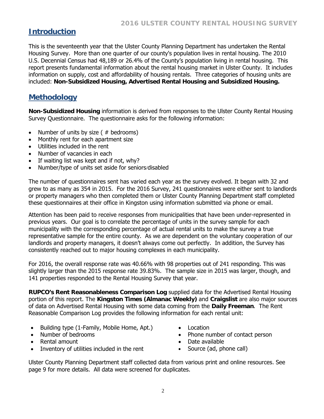## **Introduction**

This is the seventeenth year that the Ulster County Planning Department has undertaken the Rental Housing Survey. More than one quarter of our county's population lives in rental housing. The 2010 U.S. Decennial Census had 48,189 or 26.4% of the County's population living in rental housing. This report presents fundamental information about the rental housing market in Ulster County. It includes information on supply, cost and affordability of housing rentals. Three categories of housing units are included: **Non-Subsidized Housing, Advertised Rental Housing and Subsidized Housing.**

## **Methodology**

**Non-Subsidized Housing** information is derived from responses to the Ulster County Rental Housing Survey Questionnaire. The questionnaire asks for the following information:

- Number of units by size ( # bedrooms)
- Monthly rent for each apartment size
- Utilities included in the rent
- Number of vacancies in each
- If waiting list was kept and if not, why?
- Number/type of units set aside for seniors/disabled

The number of questionnaires sent has varied each year as the survey evolved. It began with 32 and grew to as many as 354 in 2015. For the 2016 Survey, 241 questionnaires were either sent to landlords or property managers who then completed them or Ulster County Planning Department staff completed these questionnaires at their office in Kingston using information submitted via phone or email.

Attention has been paid to receive responses from municipalities that have been under-represented in previous years. Our goal is to correlate the percentage of units in the survey sample for each municipality with the corresponding percentage of actual rental units to make the survey a true representative sample for the entire county. As we are dependent on the voluntary cooperation of our landlords and property managers, it doesn't always come out perfectly. In addition, the Survey has consistently reached out to major housing complexes in each municipality.

For 2016, the overall response rate was 40.66% with 98 properties out of 241 responding. This was slightly larger than the 2015 response rate 39.83%. The sample size in 2015 was larger, though, and 141 properties responded to the Rental Housing Survey that year.

**RUPCO's Rent Reasonableness Comparison Log** supplied data for the Advertised Rental Housing portion of this report. The **Kingston Times (Almanac Weekly)** and **Craigslist** are also major sources of data on Advertised Rental Housing with some data coming from the **Daily Freeman**. The Rent Reasonable Comparison Log provides the following information for each rental unit:

- Building type (1-Family, Mobile Home, Apt.)
- Number of bedrooms
- Rental amount
- Inventory of utilities included in the rent
- Location
- Phone number of contact person
- Date available
- Source (ad, phone call)

Ulster County Planning Department staff collected data from various print and online resources. See page 9 for more details. All data were screened for duplicates.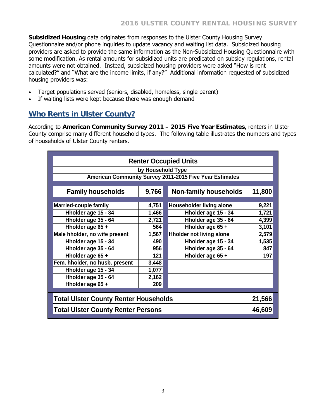**Subsidized Housing** data originates from responses to the Ulster County Housing Survey Questionnaire and/or phone inquiries to update vacancy and waiting list data. Subsidized housing providers are asked to provide the same information as the Non-Subsidized Housing Questionnaire with some modification. As rental amounts for subsidized units are predicated on subsidy regulations, rental amounts were not obtained. Instead, subsidized housing providers were asked "How is rent calculated?" and "What are the income limits, if any?" Additional information requested of subsidized housing providers was:

- Target populations served (seniors, disabled, homeless, single parent)
- If waiting lists were kept because there was enough demand

## **Who Rents in Ulster County?**

According to **American Community Survey 2011 – 2015 Five Year Estimates,** renters in Ulster County comprise many different household types. The following table illustrates the numbers and types of households of Ulster County renters.

| <b>Renter Occupied Units</b>                            |                   |                                 |        |  |  |  |  |  |  |  |
|---------------------------------------------------------|-------------------|---------------------------------|--------|--|--|--|--|--|--|--|
|                                                         |                   |                                 |        |  |  |  |  |  |  |  |
|                                                         | by Household Type |                                 |        |  |  |  |  |  |  |  |
| American Community Survey 2011-2015 Five Year Estimates |                   |                                 |        |  |  |  |  |  |  |  |
|                                                         |                   |                                 |        |  |  |  |  |  |  |  |
| <b>Family households</b>                                | 9,766             | <b>Non-family households</b>    | 11,800 |  |  |  |  |  |  |  |
|                                                         |                   |                                 |        |  |  |  |  |  |  |  |
| <b>Married-couple family</b>                            | 4,751             | <b>Householder living alone</b> | 9,221  |  |  |  |  |  |  |  |
| Hholder age 15 - 34                                     | 1,466             | Hholder age 15 - 34             | 1,721  |  |  |  |  |  |  |  |
| Hholder age 35 - 64                                     | 2,721             | Hholder age 35 - 64             | 4,399  |  |  |  |  |  |  |  |
| Hholder age 65 +                                        | 564               | Hholder age 65 +                | 3,101  |  |  |  |  |  |  |  |
| Male hholder, no wife present                           | 1,567             | <b>Hholder not living alone</b> | 2,579  |  |  |  |  |  |  |  |
| Hholder age 15 - 34                                     | 490               | Hholder age 15 - 34             | 1,535  |  |  |  |  |  |  |  |
| Hholder age 35 - 64                                     | 956               | Hholder age 35 - 64             | 847    |  |  |  |  |  |  |  |
| Hholder age 65 +                                        | 121               | Hholder age 65 +                | 197    |  |  |  |  |  |  |  |
| Fem. hholder, no husb. present                          | 3,448             |                                 |        |  |  |  |  |  |  |  |
| Hholder age 15 - 34                                     | 1,077             |                                 |        |  |  |  |  |  |  |  |
| Hholder age 35 - 64                                     | 2,162             |                                 |        |  |  |  |  |  |  |  |
| Hholder age 65 +                                        | 209               |                                 |        |  |  |  |  |  |  |  |
|                                                         |                   |                                 |        |  |  |  |  |  |  |  |
| <b>Total Ulster County Renter Households</b>            |                   |                                 |        |  |  |  |  |  |  |  |
| <b>Total Ulster County Renter Persons</b>               |                   |                                 |        |  |  |  |  |  |  |  |
| 46,609                                                  |                   |                                 |        |  |  |  |  |  |  |  |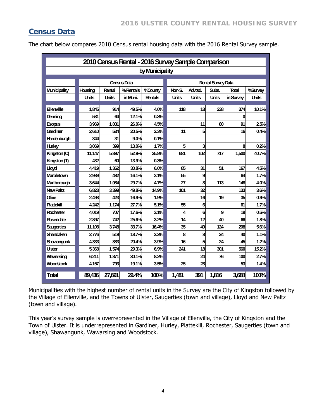## **Census Data**

The chart below compares 2010 Census rental housing data with the 2016 Rental Survey sample.

| 2010 Census Rental - 2016 Survey Sample Comparison |              |              |                    |                 |              |              |                           |           |              |  |  |  |
|----------------------------------------------------|--------------|--------------|--------------------|-----------------|--------------|--------------|---------------------------|-----------|--------------|--|--|--|
|                                                    |              |              |                    | by Municipality |              |              |                           |           |              |  |  |  |
|                                                    |              |              | <b>Census Data</b> |                 |              |              | <b>Rental Survey Data</b> |           |              |  |  |  |
| <b>Municipality</b>                                | Housing      | Rental       | %Rentals           | %County         | Non-S.       | Advtsd.      | Subs.                     | Total     | %Survey      |  |  |  |
|                                                    | <b>Units</b> | <b>Units</b> | in Muni.           | <b>Rentals</b>  | <b>Units</b> | <b>Units</b> | <b>Units</b>              | in Survey | <b>Units</b> |  |  |  |
| <b>Elenville</b>                                   |              |              |                    |                 |              |              |                           |           |              |  |  |  |
|                                                    | 1,845        | 914          | 49.5%              | 4.0%            | 118          | 18           | 238                       | 374       | 10.1%        |  |  |  |
| Denning                                            | 531          | 64           | 12.1%              | 0.3%            |              |              |                           | 0         |              |  |  |  |
| <b>Esopus</b>                                      | 3,969        | 1,031        | 26.0%              | 4.5%            |              | 11           | 80                        | 91        | 25%          |  |  |  |
| Gardiner                                           | 2.610        | 534          | 20.5%              | 2.3%            | 11           | 5            |                           | 16        | 0.4%         |  |  |  |
| <b>Hardenburgh</b>                                 | 344          | 31           | 9.0%               | 0.1%            |              |              |                           |           |              |  |  |  |
| <b>Hurley</b>                                      | 3,069        | 399          | 13.0%              | 1.7%            | 5            | 3            |                           | 8         | 0.2%         |  |  |  |
| Kingston (C)                                       | 11,147       | 5,897        | 52.9%              | 25.8%           | 681          | 102          | 717                       | 1,500     | 40.7%        |  |  |  |
| Kingston (T)                                       | 432          | 60           | 13.9%              | 0.3%            |              |              |                           |           |              |  |  |  |
| <b>Lloyd</b>                                       | 4,419        | 1,362        | 30.8%              | 60%             | 85           | 31           | 51                        | 167       | 4.5%         |  |  |  |
| <b>Marbletown</b>                                  | 2,989        | 482          | 16.1%              | 2.1%            | 55           | 9            |                           | 64        | 1.7%         |  |  |  |
| Marlborough                                        | 3,644        | 1,084        | 29.7%              | 4.7%            | 27           | 8            | 113                       | 148       | 4.0%         |  |  |  |
| <b>New Paltz</b>                                   | 6.828        | 3,399        | 49.8%              | 14.9%           | 101          | 32           |                           | 133       | 3.6%         |  |  |  |
| <b>Olive</b>                                       | 2,498        | 423          | 16.9%              | 1.9%            |              | 16           | 19                        | 35        | 0.9%         |  |  |  |
| <b>Plattekill</b>                                  | 4,242        | 1,174        | 27.7%              | 5.1%            | 55           | 6            |                           | 61        | 1.7%         |  |  |  |
| Rochester                                          | 4.019        | 707          | 17.6%              | 3.1%            | 4            | 6            | 9                         | 19        | 0.5%         |  |  |  |
| Rosendale                                          | 2,897        | 742          | 25.6%              | 3.2%            | 14           | 12           | 40                        | 66        | 1.8%         |  |  |  |
| <b>Saugerties</b>                                  | 11,108       | 3,748        | 33.7%              | 16.4%           | 35           | 49           | 124                       | 208       | 5.6%         |  |  |  |
| <b>Shandaken</b>                                   | 2,776        | 519          | 18.7%              | 23%             | 8            | 8            | 24                        | 40        | 1.1%         |  |  |  |
| <b>Shawangunk</b>                                  | 4,333        | 883          | 20.4%              | 3.9%            | 16           | 5            | 24                        | 45        | 1.2%         |  |  |  |
| <b>Ulster</b>                                      | 5,368        | 1.574        | 29.3%              | 6.9%            | 241          | 18           | 301                       | 560       | 15.2%        |  |  |  |
| Wawarsing                                          | 6,211        | 1,871        | 30.1%              | 8.2%            |              | 24           | 76                        | 100       | 2.7%         |  |  |  |
| <b>Woodstock</b>                                   | 4,157        | 793          | 19.1%              | 3.5%            | 25           | 28           |                           | 53        | 1.4%         |  |  |  |
|                                                    |              |              |                    |                 |              |              |                           |           |              |  |  |  |
| <b>Total</b>                                       | 89,436       | 27,691       | 29.4%              | 100%            | 1,481        | 391          | 1,816                     | 3,688     | 100%         |  |  |  |

Municipalities with the highest number of rental units in the Survey are the City of Kingston followed by the Village of Ellenville, and the Towns of Ulster, Saugerties (town and village), Lloyd and New Paltz (town and village).

This year's survey sample is overrepresented in the Village of Ellenville, the City of Kingston and the Town of Ulster. It is underrepresented in Gardiner, Hurley, Plattekill, Rochester, Saugerties (town and village), Shawangunk, Wawarsing and Woodstock.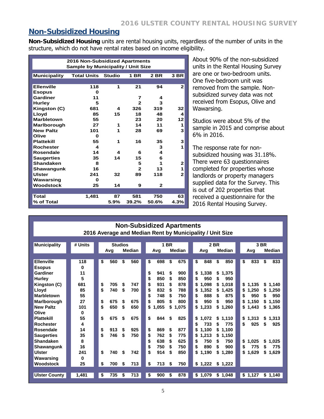#### **Non-Subsidized Housing**

**Non-Subsidized Housing** units are rental housing units, regardless of the number of units in the structure, which do not have rental rates based on income eligibility.

|                     | <b>2016 Non-Subsidized Apartments</b>     |               |              |              |              |
|---------------------|-------------------------------------------|---------------|--------------|--------------|--------------|
|                     | <b>Sample by Municipality / Unit Size</b> |               |              |              |              |
| <b>Municipality</b> | <b>Total Units</b>                        | <b>Studio</b> | <b>1 BR</b>  | 2 BR         | 3 BR         |
|                     |                                           |               |              |              |              |
| <b>Ellenville</b>   | 118                                       | 1             | 21           | 94           | $\mathbf{2}$ |
| <b>Esopus</b>       | 0                                         |               |              |              |              |
| Gardiner            | 11                                        |               | 7            | 4            |              |
| <b>Hurley</b>       | 5                                         |               | $\mathbf{2}$ | 3            |              |
| Kingston (C)        | 681                                       | 4             | 326          | 319          | 32           |
| Lloyd               | 85                                        | 15            | 18           | 48           | 4            |
| <b>Marbletown</b>   | 55                                        |               | 23           | 20           | 12           |
| Marlborough         | 27                                        | 1             | 14           | 11           | 1            |
| <b>New Paltz</b>    | 101                                       | 1             | 28           | 69           | 3            |
| Olive               | 0                                         |               |              |              |              |
| <b>Plattekill</b>   | 55                                        | 1             | 16           | 35           | 3            |
| Rochester           | 4                                         |               |              | 3            | 1            |
| Rosendale           | 14                                        | 4             | 6            | 4            |              |
| <b>Saugerties</b>   | 35                                        | 14            | 15           | 6            |              |
| <b>Shandaken</b>    | 8                                         |               | 5            | 1            | $\mathbf{2}$ |
| Shawangunk          | 16                                        |               | $\mathbf{2}$ | 13           | 1            |
| <b>Ulster</b>       | 241                                       | 32            | 89           | 118          | $\mathbf{2}$ |
| Wawarsing           | 0                                         |               |              |              |              |
| Woodstock           | 25                                        | 14            | 9            | $\mathbf{2}$ |              |
|                     |                                           |               |              |              |              |
| Total               | 1.481                                     | 87            | 581          | 750          | 63           |
| % of Total          |                                           | 5.9%          | 39.2%        | 50.6%        | 4.3%         |

About 90% of the non-subsidized units in the Rental Housing Survey are one or two-bedroom units. One five-bedroom unit was removed from the sample. Nonsubsidized survey data was not received from Esopus, Olive and Wawarsing.

Studios were about 5% of the sample in 2015 and comprise about 6% in 2016.

The response rate for nonsubsidized housing was 31.18%. There were 63 questionnaires completed for properties whose landlords or property managers supplied data for the Survey. This is out of 202 properties that received a questionnaire for the 2016 Rental Housing Survey.

|                                                                                                                                                                                                                                                   | <b>Non-Subsidized Apartments</b><br>2016 Average and Median Rent by Municipality / Unit Size |                                              |                                                      |                                              |                                                      |  |                                                                                                                                                            |                                                               |                                                                                    |  |                                                                                                                                                                                     |                                                                                                                                                                                     |  |                                                                                                                               |                                                                                                              |  |
|---------------------------------------------------------------------------------------------------------------------------------------------------------------------------------------------------------------------------------------------------|----------------------------------------------------------------------------------------------|----------------------------------------------|------------------------------------------------------|----------------------------------------------|------------------------------------------------------|--|------------------------------------------------------------------------------------------------------------------------------------------------------------|---------------------------------------------------------------|------------------------------------------------------------------------------------|--|-------------------------------------------------------------------------------------------------------------------------------------------------------------------------------------|-------------------------------------------------------------------------------------------------------------------------------------------------------------------------------------|--|-------------------------------------------------------------------------------------------------------------------------------|--------------------------------------------------------------------------------------------------------------|--|
| <b>Municipality</b>                                                                                                                                                                                                                               | # Units                                                                                      |                                              | <b>Studios</b><br><b>Median</b><br>Avg               |                                              |                                                      |  | Avg                                                                                                                                                        | <b>1 BR</b>                                                   | <b>Median</b>                                                                      |  | <b>2 BR</b><br><b>Median</b><br>Avg                                                                                                                                                 |                                                                                                                                                                                     |  | 3 BR<br>Median<br>Avg                                                                                                         |                                                                                                              |  |
| <b>Ellenville</b><br><b>Esopus</b><br>Gardiner<br>Hurley<br>Kingston (C)<br>Lloyd<br><b>Marbletown</b><br>Marlborough<br><b>New Paltz</b><br>Olive<br><b>Plattekill</b><br><b>Rochester</b><br>Rosendale<br><b>Saugerties</b><br><b>Shandaken</b> | 118<br>0<br>11<br>5<br>681<br>85<br>55<br>27<br>101<br>0<br>55<br>4<br>14<br>35<br>8         | \$<br>\$<br>\$<br>\$<br>\$<br>\$<br>\$<br>\$ | 560<br>705<br>740<br>675<br>650<br>675<br>913<br>746 | \$<br>\$<br>\$<br>\$<br>\$<br>\$<br>\$<br>\$ | 560<br>747<br>700<br>675<br>650<br>675<br>925<br>750 |  | \$<br>698<br>\$<br>941<br>\$<br>850<br>\$<br>931<br>\$<br>832<br>\$<br>748<br>\$<br>805<br>1,055<br>\$<br>\$<br>844<br>\$<br>869<br>\$<br>762<br>\$<br>638 | \$<br>\$<br>\$<br>\$<br>S<br>\$<br>\$<br>\$<br>\$<br>\$<br>\$ | 675<br>900<br>850<br>878<br>788<br>750<br>800<br>1,075<br>825<br>877<br>775<br>625 |  | \$<br>848<br>\$<br>1.338<br>\$<br>950<br>\$<br>1.098<br>\$<br>1,352<br>\$<br>888<br>\$<br>950<br>\$<br>1,233<br>\$<br>1.072<br>\$<br>733<br>\$<br>1.100<br>\$<br>1,213<br>\$<br>750 | \$<br>850<br>\$<br>1.375<br>\$<br>950<br>\$<br>1.018<br>\$<br>1.425<br>875<br>\$<br>\$<br>950<br>\$<br>1,260<br>\$<br>1.110<br>775<br>\$<br>\$<br>1.100<br>\$<br>1,150<br>750<br>\$ |  | \$<br>833<br>1,135<br>\$<br>\$<br>1,250<br>\$<br>950<br>1.150<br>\$<br>\$<br>1,443<br>1,313<br>\$<br>\$<br>925<br>1.025<br>\$ | \$<br>833<br>\$1,140<br>1,250<br>S<br>950<br>\$<br>\$1,150<br>\$1,365<br>\$1,313<br>\$<br>925<br>\$<br>1,025 |  |
| Shawangunk<br><b>Ulster</b><br>Wawarsing<br><b>Woodstock</b>                                                                                                                                                                                      | 16<br>241<br>0<br>25                                                                         | \$<br>\$                                     | 740<br>700                                           | \$<br>\$                                     | 742<br>713                                           |  | \$<br>750<br>\$<br>914<br>\$<br>713                                                                                                                        | S<br>\$<br>S                                                  | 750<br>850<br>750                                                                  |  | \$<br>890<br>\$<br>1,190<br>\$1,222                                                                                                                                                 | 900<br>S<br>\$<br>1.280<br>\$1,222                                                                                                                                                  |  | \$<br>775<br>1.629<br>\$                                                                                                      | \$<br>775<br>\$1,629                                                                                         |  |
| <b>Ulster County</b>                                                                                                                                                                                                                              | 1,481                                                                                        | \$                                           | 735                                                  | \$                                           | 713                                                  |  | \$<br>900                                                                                                                                                  | \$                                                            | 878                                                                                |  | \$1,079                                                                                                                                                                             | \$1,048                                                                                                                                                                             |  | \$1,127                                                                                                                       | \$1,140                                                                                                      |  |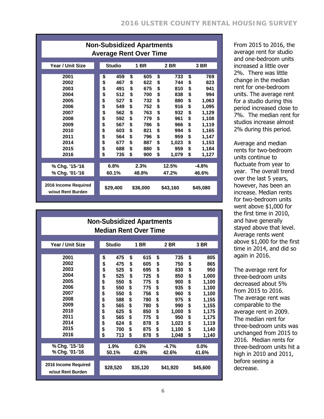| <b>Non-Subsidized Apartments</b><br><b>Average Rent Over Time</b>                                    |                                                                                                                                                                       |                                                                                                                                                                       |                                                                                                                                                                         |                                                                                                                                                                                         |  |  |  |  |  |  |
|------------------------------------------------------------------------------------------------------|-----------------------------------------------------------------------------------------------------------------------------------------------------------------------|-----------------------------------------------------------------------------------------------------------------------------------------------------------------------|-------------------------------------------------------------------------------------------------------------------------------------------------------------------------|-----------------------------------------------------------------------------------------------------------------------------------------------------------------------------------------|--|--|--|--|--|--|
| Year / Unit Size                                                                                     | <b>Studio</b><br><b>1 BR</b><br><b>2 BR</b>                                                                                                                           |                                                                                                                                                                       |                                                                                                                                                                         |                                                                                                                                                                                         |  |  |  |  |  |  |
| 2001<br>2002<br>2003<br>2004<br>2005<br>2006<br>2007<br>2008<br>2009<br>2010<br>2011<br>2014<br>2015 | \$<br>459<br>\$<br>467<br>\$<br>491<br>\$<br>512<br>\$<br>527<br>\$<br>549<br>\$<br>562<br>\$<br>592<br>\$<br>567<br>\$<br>603<br>\$<br>564<br>\$<br>677<br>\$<br>688 | \$<br>605<br>\$<br>622<br>\$<br>675<br>\$<br>700<br>\$<br>732<br>\$<br>752<br>\$<br>763<br>\$<br>779<br>\$<br>786<br>\$<br>821<br>\$<br>796<br>\$<br>887<br>\$<br>880 | \$<br>733<br>\$<br>744<br>\$<br>810<br>\$<br>838<br>\$<br>880<br>\$<br>916<br>\$<br>932<br>\$<br>961<br>\$<br>966<br>\$<br>994<br>\$<br>959<br>\$<br>1,023<br>\$<br>959 | \$<br>769<br>\$<br>823<br>\$<br>941<br>\$<br>994<br>\$<br>1,063<br>\$<br>1,095<br>\$<br>1,129<br>\$<br>1,108<br>\$<br>1,119<br>\$<br>1,165<br>\$<br>1,147<br>\$<br>1,153<br>\$<br>1,184 |  |  |  |  |  |  |
| 2016                                                                                                 | \$<br>735                                                                                                                                                             | \$<br>900                                                                                                                                                             | \$<br>1,079                                                                                                                                                             | \$<br>1,127                                                                                                                                                                             |  |  |  |  |  |  |
| % Chg. '15-'16<br>% Chg. '01-'16                                                                     | 6.8%<br>60.1%                                                                                                                                                         | 2.3%<br>48.8%                                                                                                                                                         | 12.5%<br>47.2%                                                                                                                                                          | $-4.8%$<br>46.6%                                                                                                                                                                        |  |  |  |  |  |  |
| 2016 Income Required<br>w/out Rent Burden                                                            | \$29,400                                                                                                                                                              | \$36,000                                                                                                                                                              | \$43,160                                                                                                                                                                | \$45,080                                                                                                                                                                                |  |  |  |  |  |  |

From 2015 to 2016, the average rent for studio and one-bedroom units increased a little over 2%. There was little change in the median rent for one-bedroom units. The average rent for a studio during this period increased close to 7%. The median rent for studios increase almost 2% during this period.

Average and median rents for two-bedroom units continue to fluctuate from year to year. The overall trend over the last 5 years, however, has been an increase. Median rents for two-bedroom units went above \$1,000 for the first time in 2010, and have generally stayed above that level. Average rents went above \$1,000 for the first time in 2014, and did so again in 2016.

The average rent for three-bedroom units decreased about 5% from 2015 to 2016. The average rent was comparable to the average rent in 2009. The median rent for three-bedroom units was unchanged from 2015 to 2016. Median rents for three-bedroom units hit a high in 2010 and 2011, before seeing a decrease.

|                                           | <b>Non-Subsidized Apartments</b> |                              |    |      |          |         |          |         |  |  |  |
|-------------------------------------------|----------------------------------|------------------------------|----|------|----------|---------|----------|---------|--|--|--|
|                                           |                                  | <b>Median Rent Over Time</b> |    |      |          |         |          |         |  |  |  |
|                                           |                                  |                              |    |      |          |         |          |         |  |  |  |
| Year / Unit Size                          |                                  | <b>Studio</b>                |    | 1 BR |          | 2 BR    |          | 3 BR    |  |  |  |
|                                           |                                  |                              |    |      |          |         |          |         |  |  |  |
| 2001                                      |                                  | \$<br>475                    | \$ | 615  | \$       | 735     | \$       | 805     |  |  |  |
| 2002                                      |                                  | \$<br>475                    | \$ | 605  | \$       | 750     | \$       | 865     |  |  |  |
| 2003                                      |                                  | \$<br>525                    | \$ | 695  | \$       | 830     | \$       | 950     |  |  |  |
| 2004                                      |                                  | 525                          | \$ | 725  | \$       | 850     | \$       | 1,000   |  |  |  |
| 2005                                      |                                  | \$<br>550                    | \$ | 775  | \$       | 900     | \$       | 1,100   |  |  |  |
| 2006                                      |                                  | \$<br>550                    | \$ | 775  | \$       | 935     | \$       | 1,100   |  |  |  |
| 2007                                      |                                  | \$<br>550                    | \$ | 756  | \$       | 960     | \$       | 1,100   |  |  |  |
| 2008                                      |                                  | \$<br>588                    | \$ | 780  | \$       | 975     | \$<br>\$ | 1,155   |  |  |  |
| 2009                                      |                                  | \$<br>565                    | \$ | 780  | \$       | 990     |          | 1,155   |  |  |  |
| 2010                                      |                                  | \$<br>625                    | \$ | 850  | \$       | 1,000   | \$<br>\$ | 1,175   |  |  |  |
| 2011                                      |                                  | \$<br>565                    | \$ | 775  | \$       | 950     |          | 1,175   |  |  |  |
| 2014                                      |                                  | \$<br>624                    | \$ | 878  | \$       | 1,023   | \$       | 1,119   |  |  |  |
| 2015                                      |                                  | \$<br>700                    | \$ | 875  | \$       | 1,100   | \$       | 1,140   |  |  |  |
| 2016                                      |                                  | \$<br>713                    | \$ | 878  | \$       | 1,048   | \$       | 1,140   |  |  |  |
| % Chg. '15-'16                            |                                  | 1.9%                         |    | 0.3% |          | $-4.7%$ |          | $0.0\%$ |  |  |  |
| % Chg. '01-'16                            |                                  | 50.1%<br>42.8%               |    |      |          | 42.6%   |          | 41.6%   |  |  |  |
|                                           |                                  |                              |    |      |          |         |          |         |  |  |  |
| 2016 Income Required<br>w/out Rent Burden |                                  | \$35,120<br>\$28,520         |    |      | \$41,920 |         | \$45,600 |         |  |  |  |
|                                           |                                  |                              |    |      |          |         |          |         |  |  |  |

6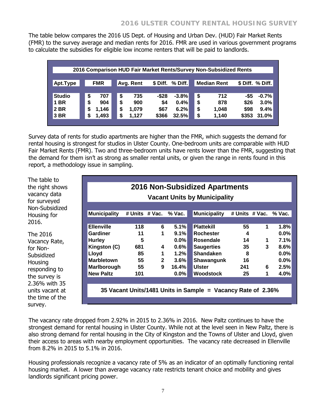The table below compares the 2016 US Dept. of Housing and Urban Dev. (HUD) Fair Market Rents (FMR) to the survey average and median rents for 2016. FMR are used in various government programs to calculate the subsidies for eligible low income renters that will be paid to landlords.

|               | 2016 Comparison HUD Fair Market Rents/Survey Non-Subsidized Rents |            |    |           |       |                 |  |    |                    |       |                  |  |  |
|---------------|-------------------------------------------------------------------|------------|----|-----------|-------|-----------------|--|----|--------------------|-------|------------------|--|--|
|               |                                                                   |            |    |           |       |                 |  |    |                    |       |                  |  |  |
| Apt.Type      |                                                                   | <b>FMR</b> |    | Avg. Rent |       | \$Diff. % Diff. |  |    | <b>Median Rent</b> |       | \$ Diff. % Diff. |  |  |
|               |                                                                   |            |    |           |       |                 |  |    |                    |       |                  |  |  |
| <b>Studio</b> | \$                                                                | 707        | S  | 735       | -\$28 | $-3.8%$         |  | \$ | 712                | -\$5  | $-0.7%$          |  |  |
| <b>BR</b>     | S                                                                 | 904        | \$ | 900       | \$4   | 0.4%            |  | \$ | 878                | \$26  | 3.0%             |  |  |
| 2 BR          | S                                                                 | 1.146      | \$ | 1.079     | \$67  | 6.2%            |  | \$ | 1.048              | \$98  | 9.4%             |  |  |
| 3 BR          | S                                                                 | 1,493      | \$ | 1.127     | \$366 | 32.5%           |  | \$ | 1,140              | \$353 | 31.0%            |  |  |
|               |                                                                   |            |    |           |       |                 |  |    |                    |       |                  |  |  |

Survey data of rents for studio apartments are higher than the FMR, which suggests the demand for rental housing is strongest for studios in Ulster County. One-bedroom units are comparable with HUD Fair Market Rents (FMR). Two and three-bedroom units have rents lower than the FMR, suggesting that the demand for them isn't as strong as smaller rental units, or given the range in rents found in this report, a methodology issue in sampling.

The table to the right shows vacancy data for surveyed Non-Subsidized Housing for 2016.

The 2016 Vacancy Rate, for Non-**Subsidized Housing** responding to the survey is 2.36% with 35 units vacant at the time of the survey.

|                                                              | <b>2016 Non-Subsidized Apartments</b><br><b>Vacant Units by Municipality</b> |                |         |                     |                |   |          |  |  |  |  |  |  |
|--------------------------------------------------------------|------------------------------------------------------------------------------|----------------|---------|---------------------|----------------|---|----------|--|--|--|--|--|--|
| <b>Municipality</b>                                          | # Units # Vac.                                                               |                | % Vac.  | <b>Municipality</b> | # Units # Vac. |   | $%$ Vac. |  |  |  |  |  |  |
| <b>Ellenville</b>                                            | 118                                                                          | 6              | 5.1%    | <b>Plattekill</b>   | 55             | 1 | 1.8%     |  |  |  |  |  |  |
| Gardiner                                                     | 11                                                                           | 1              | 9.1%    | <b>Rochester</b>    | 4              |   | $0.0\%$  |  |  |  |  |  |  |
| <b>Hurley</b>                                                | 5                                                                            |                | $0.0\%$ | <b>Rosendale</b>    | 14             | 1 | 7.1%     |  |  |  |  |  |  |
| Kingston (C)                                                 | 681                                                                          | 4              | 0.6%    | <b>Saugerties</b>   | 35             | 3 | 8.6%     |  |  |  |  |  |  |
| Lloyd                                                        | 85                                                                           | 1              | 1.2%    | <b>Shandaken</b>    | 8              |   | $0.0\%$  |  |  |  |  |  |  |
| <b>Marbletown</b>                                            | 55                                                                           | $\overline{2}$ | 3.6%    | Shawangunk          | 16             |   | $0.0\%$  |  |  |  |  |  |  |
| Marlborough                                                  | 55                                                                           | 9              | 16.4%   | <b>Ulster</b>       | 241            | 6 | 2.5%     |  |  |  |  |  |  |
| <b>New Paltz</b>                                             | 101                                                                          |                | $0.0\%$ | <b>Woodstock</b>    | 25             | 1 | 4.0%     |  |  |  |  |  |  |
| 35 Vacant Units/1481 Units in Sample = Vacancy Rate of 2.36% |                                                                              |                |         |                     |                |   |          |  |  |  |  |  |  |

The vacancy rate dropped from 2.92% in 2015 to 2.36% in 2016. New Paltz continues to have the strongest demand for rental housing in Ulster County. While not at the level seen in New Paltz, there is also strong demand for rental housing in the City of Kingston and the Towns of Ulster and Lloyd, given their access to areas with nearby employment opportunities. The vacancy rate decreased in Ellenville from 8.2% in 2015 to 5.1% in 2016.

Housing professionals recognize a vacancy rate of 5% as an indicator of an optimally functioning rental housing market. A lower than average vacancy rate restricts tenant choice and mobility and gives landlords significant pricing power.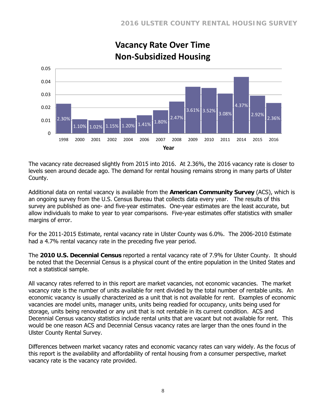

# **Vacancy Rate Over Time Non-Subsidized Housing**

The vacancy rate decreased slightly from 2015 into 2016. At 2.36%, the 2016 vacancy rate is closer to levels seen around decade ago. The demand for rental housing remains strong in many parts of Ulster County.

Additional data on rental vacancy is available from the **American Community Survey** (ACS), which is an ongoing survey from the U.S. Census Bureau that collects data every year. The results of this survey are published as one- and five-year estimates. One-year estimates are the least accurate, but allow individuals to make to year to year comparisons. Five-year estimates offer statistics with smaller margins of error.

For the 2011-2015 Estimate, rental vacancy rate in Ulster County was 6.0%. The 2006-2010 Estimate had a 4.7% rental vacancy rate in the preceding five year period.

The **2010 U.S. Decennial Census** reported a rental vacancy rate of 7.9% for Ulster County. It should be noted that the Decennial Census is a physical count of the entire population in the United States and not a statistical sample.

All vacancy rates referred to in this report are market vacancies, not economic vacancies. The market vacancy rate is the number of units available for rent divided by the total number of rentable units. An economic vacancy is usually characterized as a unit that is not available for rent. Examples of economic vacancies are model units, manager units, units being readied for occupancy, units being used for storage, units being renovated or any unit that is not rentable in its current condition. ACS and Decennial Census vacancy statistics include rental units that are vacant but not available for rent. This would be one reason ACS and Decennial Census vacancy rates are larger than the ones found in the Ulster County Rental Survey.

Differences between market vacancy rates and economic vacancy rates can vary widely. As the focus of this report is the availability and affordability of rental housing from a consumer perspective, market vacancy rate is the vacancy rate provided.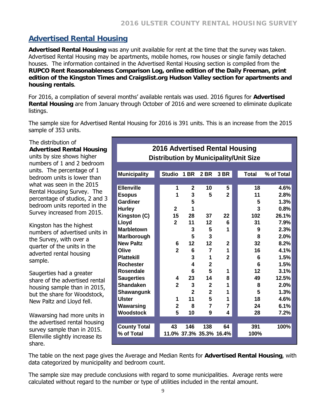# **Advertised Rental Housing**

**Advertised Rental Housing** was any unit available for rent at the time that the survey was taken. Advertised Rental Housing may be apartments, mobile homes, row houses or single family detached houses. The information contained in the Advertised Rental Housing section is compiled from the **RUPCO Rent Reasonableness Comparison Log, online edition of the Daily Freeman, print edition of the Kingston Times and Craigslist.org Hudson Valley section for apartments and housing rentals**.

For 2016, a compilation of several months' available rentals was used. 2016 figures for **Advertised Rental Housing** are from January through October of 2016 and were screened to eliminate duplicate listings.

The sample size for Advertised Rental Housing for 2016 is 391 units. This is an increase from the 2015 sample of 353 units.

The distribution of **Advertised Rental Housing**

units by size shows higher numbers of 1 and 2 bedroom units. The percentage of 1 bedroom units is lower than what was seen in the 2015 Rental Housing Survey. The percentage of studios, 2 and 3 bedroom units reported in the Survey increased from 2015.

Kingston has the highest numbers of advertised units in the Survey, with over a quarter of the units in the adverted rental housing sample.

Saugerties had a greater share of the advertised rental housing sample than in 2015, but the share for Woodstock, New Paltz and Lloyd fell.

Wawarsing had more units in the advertised rental housing survey sample than in 2015. Ellenville slightly increase its share.

#### **2016 Advertised Rental Housing Distribution by Municipality/Unit Size**

| <b>Municipality</b> | <b>Studio</b>  | 1 BR         | 2 BR                    | 3 BR        | <b>Total</b> | % of Total |
|---------------------|----------------|--------------|-------------------------|-------------|--------------|------------|
| <b>Ellenville</b>   | 1              | $\mathbf{2}$ | 10                      | 5           | 18           | 4.6%       |
| <b>Esopus</b>       | 1              | 3            | 5                       | 2           | 11           | 2.8%       |
| Gardiner            |                | 5            |                         |             | 5            | 1.3%       |
| <b>Hurley</b>       | $\mathbf{2}$   | 1            |                         |             | 3            | 0.8%       |
| Kingston (C)        | 15             | 28           | 37                      | 22          | 102          | 26.1%      |
| Lloyd               | $\mathbf{2}$   | 11           | 12                      | 6           | 31           | 7.9%       |
| <b>Marbletown</b>   |                | 3            | 5                       | 1           | 9            | 2.3%       |
| Marlborough         |                | 5            | 3                       |             | 8            | 2.0%       |
| <b>New Paltz</b>    | 6              | 12           | 12                      | $\mathbf 2$ | 32           | 8.2%       |
| Olive               | $\overline{2}$ | 6            | 7                       | 1           | 16           | 4.1%       |
| <b>Plattekill</b>   |                | 3            | 1                       | 2           | 6            | 1.5%       |
| <b>Rochester</b>    |                | 4            | $\overline{2}$          |             | 6            | 1.5%       |
| <b>Rosendale</b>    |                | 6            | 5                       | 1           | 12           | 3.1%       |
| <b>Saugerties</b>   | 4              | 23           | 14                      | 8           | 49           | 12.5%      |
| <b>Shandaken</b>    | $\overline{2}$ | 3            | $\overline{2}$          | 1           | 8            | 2.0%       |
| <b>Shawangunk</b>   |                | $\mathbf{2}$ | $\mathbf{2}$            | 1           | 5            | 1.3%       |
| <b>Ulster</b>       | 1              | 11           | 5                       | 1           | 18           | 4.6%       |
| Wawarsing           | $\mathbf{2}$   | 8            | $\overline{7}$          | 7           | 24           | 6.1%       |
| Woodstock           | 5              | 10           | 9                       | 4           | 28           | 7.2%       |
|                     |                |              |                         |             |              |            |
| <b>County Total</b> | 43             | 146          | 138                     | 64          | 391          | 100%       |
| % of Total          |                |              | 11.0% 37.3% 35.3% 16.4% |             | 100%         |            |
|                     |                |              |                         |             |              |            |

The table on the next page gives the Average and Median Rents for **Advertised Rental Housing**, with data categorized by municipality and bedroom count.

The sample size may preclude conclusions with regard to some municipalities. Average rents were calculated without regard to the number or type of utilities included in the rental amount.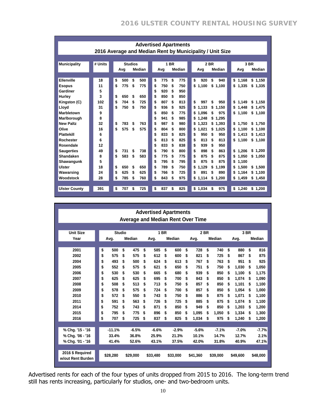| <b>Advertised Apartments</b><br>2016 Average and Median Rent by Municipality / Unit Size |         |           |                |           |             |                            |                        |  |  |  |  |
|------------------------------------------------------------------------------------------|---------|-----------|----------------|-----------|-------------|----------------------------|------------------------|--|--|--|--|
|                                                                                          |         |           |                |           |             |                            |                        |  |  |  |  |
| <b>Municipality</b>                                                                      | # Units |           | <b>Studios</b> |           | <b>1 BR</b> | 2 BR                       | 3 BR                   |  |  |  |  |
|                                                                                          |         | Avg       | Median         | Avg       | Median      | Median<br>Avg              | Median<br>Avg          |  |  |  |  |
|                                                                                          |         |           |                |           |             |                            |                        |  |  |  |  |
| <b>Ellenville</b>                                                                        | 18      | \$<br>500 | \$<br>500      | \$<br>775 | \$<br>775   | \$<br>\$<br>920<br>940     | \$1.168<br>\$1.150     |  |  |  |  |
| <b>Esopus</b>                                                                            | 11      | \$<br>775 | \$<br>775      | 750<br>\$ | 750<br>\$   | \$1.100<br>\$1.100         | \$1,335<br>\$<br>1,335 |  |  |  |  |
| Gardiner                                                                                 | 5       |           |                | \$<br>920 | 950<br>\$   |                            |                        |  |  |  |  |
| Hurley                                                                                   | 3       | \$<br>650 | 650<br>S       | \$<br>850 | \$<br>850   |                            |                        |  |  |  |  |
| Kingston (C)                                                                             | 102     | \$<br>704 | 725<br>\$      | \$<br>807 | 813<br>\$   | \$<br>997<br>950<br>\$     | \$<br>1.149<br>\$1,150 |  |  |  |  |
| Llovd                                                                                    | 31      | \$<br>750 | \$<br>750      | \$<br>936 | 925<br>\$   | \$<br>1.133<br>\$<br>1,150 | \$<br>1.448<br>\$1.475 |  |  |  |  |
| Marbletown                                                                               | 9       |           |                | 850<br>\$ | \$<br>775   | \$<br>1.096<br>\$<br>975   | \$<br>1,100<br>\$1,100 |  |  |  |  |
| Marlborough                                                                              | 8       |           |                | \$<br>941 | 985<br>\$   | 1.248<br>1.295<br>\$<br>\$ |                        |  |  |  |  |
| <b>New Paltz</b>                                                                         | 32      | \$<br>783 | \$<br>763      | \$<br>987 | \$<br>980   | \$<br>\$<br>1.393<br>1.323 | \$<br>1.750<br>\$1.750 |  |  |  |  |
| Olive                                                                                    | 16      | \$<br>575 | \$<br>575      | \$<br>804 | \$<br>800   | \$<br>1.021<br>\$<br>1.025 | 1.100<br>\$1,100<br>\$ |  |  |  |  |
| <b>Plattekill</b>                                                                        | 6       |           |                | \$<br>833 | 825<br>\$   | 950<br>\$<br>\$<br>950     | 1.413<br>\$<br>\$1.413 |  |  |  |  |
| Rochester                                                                                | 6       |           |                | 813<br>\$ | 825<br>\$   | \$<br>813<br>813<br>\$     | \$<br>1,100<br>\$1,100 |  |  |  |  |
| Rosendale                                                                                | 12      |           |                | \$<br>833 | 838<br>\$   | \$<br>950<br>939<br>\$     |                        |  |  |  |  |
| <b>Saugerties</b>                                                                        | 49      | \$<br>731 | \$<br>738      | \$<br>790 | 800<br>\$   | \$<br>898<br>\$<br>863     | \$<br>1.206<br>\$1,200 |  |  |  |  |
| Shandaken                                                                                | 8       | \$<br>583 | \$<br>583      | \$<br>775 | 775<br>\$   | \$<br>875<br>\$<br>875     | 1.050<br>\$1,050<br>\$ |  |  |  |  |
| Shawangunk                                                                               | 5       |           |                | \$<br>795 | 795<br>\$   | \$<br>875<br>\$<br>875     | \$<br>1.100            |  |  |  |  |
| Ulster                                                                                   | 18      | \$<br>650 | 650<br>S       | \$<br>789 | 750<br>\$   | \$<br>1.129<br>\$<br>1.199 | 1.500<br>\$1.500<br>S  |  |  |  |  |
| Wawarsing                                                                                | 24      | \$<br>625 | \$<br>625      | \$<br>766 | \$<br>725   | \$<br>891<br>890<br>\$     | 1,164<br>\$1.100<br>\$ |  |  |  |  |
| Woodstock                                                                                | 28      | \$<br>785 | \$<br>760      | \$<br>843 | 975<br>\$   | \$<br>\$1,200<br>1,114     | \$<br>1,459<br>\$1,450 |  |  |  |  |
|                                                                                          |         |           |                |           |             |                            |                        |  |  |  |  |
| <b>Ulster County</b>                                                                     | 391     | \$<br>707 | \$<br>725      | \$<br>837 | 825<br>\$   | \$1,034<br>975<br>\$       | \$<br>1,240<br>\$1.200 |  |  |  |  |

|                                          |                |          |                |          |             | <b>Advertised Apartments</b> |    |          |      |          |    |          |    |          |    |          |  |
|------------------------------------------|----------------|----------|----------------|----------|-------------|------------------------------|----|----------|------|----------|----|----------|----|----------|----|----------|--|
| <b>Average and Median Rent Over Time</b> |                |          |                |          |             |                              |    |          |      |          |    |          |    |          |    |          |  |
|                                          |                |          |                |          |             |                              |    |          |      |          |    |          |    |          |    |          |  |
| <b>Unit Size</b>                         | <b>Studio</b>  |          |                |          | <b>1 BR</b> |                              |    |          |      | 2 BR     |    |          |    | 3 BR     |    |          |  |
| Year                                     | Median<br>Avg. |          | Median<br>Avg. |          |             | Median<br>Avg.               |    |          | Avg. |          |    | Median   |    |          |    |          |  |
|                                          |                |          |                |          |             |                              |    |          |      |          |    |          |    |          |    |          |  |
| 2001                                     | \$             | 500      | \$             | 475      | \$          | 585                          | \$ | 600      | \$   | 728      | \$ | 740      | \$ | 880      | \$ | 816      |  |
| 2002                                     | \$             | 575      | \$             | 575      | \$          | 612                          | S  | 600      | \$   | 821      | \$ | 725      | \$ | 867      | \$ | 875      |  |
| 2004                                     | \$             | 493      | \$             | 500      | \$          | 624                          | \$ | 613      | \$   | 767      | \$ | 763      | \$ | 951      | \$ | 925      |  |
| 2005                                     | \$             | 552      | \$             | 575      | \$          | 621                          | \$ | 650      | \$   | 751      | \$ | 750      | \$ | 1,030    | \$ | 1,050    |  |
| 2006                                     | \$             | 530      | \$             | 530      | \$          | 665                          | \$ | 680      | \$   | 939      | \$ | 850      | \$ | 1.100    | \$ | 1,175    |  |
| 2007                                     | \$             | 625      | \$             | 625      | \$          | 695                          | \$ | 700      | \$   | 843      | \$ | 850      | \$ | 1.074    | \$ | 1,090    |  |
| 2008                                     | \$             | 508      | \$             | 513      | \$          | 713                          | \$ | 750      | \$   | 857      | \$ | 850      | \$ | 1,101    | S  | 1,100    |  |
| 2009                                     | \$             | 578      | \$             | 575      | \$          | 724                          | \$ | 700      | \$   | 857      | \$ | 850      | \$ | 1.054    | \$ | 1,000    |  |
| 2010                                     | \$             | 572      | \$             | 550      | \$          | 743                          | \$ | 750      | \$   | 886      | \$ | 875      | \$ | 1.071    | \$ | 1.100    |  |
| 2011                                     | \$             | 591      | \$             | 563      | \$          | 726                          | \$ | 725      | \$   | 885      | \$ | 875      | \$ | 1,074    | \$ | 1,100    |  |
| 2014                                     | \$             | 752      | \$             | 743      | \$          | 871                          | \$ | 850      | \$   | 949      | \$ | 850      | \$ | 1.203    | \$ | 1.200    |  |
| 2015                                     | \$             | 795      | \$             | 775      | \$          | 896                          | \$ | 850      | \$   | 1.095    | \$ | 1.050    | \$ | 1.334    | \$ | 1,300    |  |
| 2016                                     | \$             | 707      | \$             | 725      | \$          | 837                          | \$ | 825      | \$   | 1,034    | \$ | 975      | \$ | 1,240    | \$ | 1,200    |  |
|                                          |                |          |                |          |             |                              |    |          |      |          |    |          |    |          |    |          |  |
| % Chg. '15 - '16                         |                | $-11.1%$ |                | $-6.5%$  |             | $-6.6%$                      |    | $-2.9%$  |      | $-5.6%$  |    | $-7.1%$  |    | $-7.0%$  |    | $-7.7%$  |  |
| % Chg. '06 - '16                         |                | 33.4%    |                | 36.8%    |             | 25.9%                        |    | 21.3%    |      | 10.1%    |    | 14.7%    |    | 12.7%    |    | 2.1%     |  |
| % Chg. '01 - '16                         |                | 41.4%    |                | 52.6%    |             | 43.1%                        |    | 37.5%    |      | 42.0%    |    | 31.8%    |    | 40.9%    |    | 47.1%    |  |
|                                          |                |          |                |          |             |                              |    |          |      |          |    |          |    |          |    |          |  |
| 2016 \$ Required<br>w/out Rent Burden    |                | \$28,280 |                | \$29,000 |             | \$33,480                     |    | \$33,000 |      | \$41,360 |    | \$39,000 |    | \$49,600 |    | \$48,000 |  |
|                                          |                |          |                |          |             |                              |    |          |      |          |    |          |    |          |    |          |  |

Advertised rents for each of the four types of units dropped from 2015 to 2016. The long-term trend still has rents increasing, particularly for studios, one- and two-bedroom units.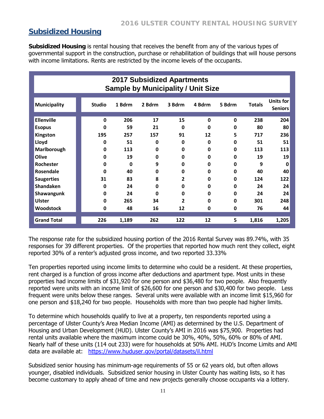### **Subsidized Housing**

**Subsidized Housing** is rental housing that receives the benefit from any of the various types of governmental support in the construction, purchase or rehabilitation of buildings that will house persons with income limitations. Rents are restricted by the income levels of the occupants.

| <b>2017 Subsidized Apartments</b><br><b>Sample by Municipality / Unit Size</b> |               |        |          |                |              |             |               |                             |
|--------------------------------------------------------------------------------|---------------|--------|----------|----------------|--------------|-------------|---------------|-----------------------------|
| <b>Municipality</b>                                                            | <b>Studio</b> | 1 Bdrm | 2 Bdrm   | 3 Bdrm         | 4 Bdrm       | 5 Bdrm      | <b>Totals</b> | Units for<br><b>Seniors</b> |
| <b>Ellenville</b>                                                              | 0             | 206    | 17       | 15             | $\mathbf{0}$ | $\mathbf 0$ | 238           | 204                         |
| <b>Esopus</b>                                                                  | $\bf{0}$      | 59     | 21       | $\mathbf{0}$   | O            | 0           | 80            | 80                          |
| Kingston                                                                       | 195           | 257    | 157      | 91             | 12           | 5           | 717           | 236                         |
| Lloyd                                                                          | 0             | 51     | $\bf{0}$ | 0              | 0            | 0           | 51            | 51                          |
| Marlborough                                                                    | 0             | 113    | 0        | 0              | 0            | 0           | 113           | 113                         |
| Olive                                                                          | 0             | 19     | $\bf{0}$ | 0              | U            | 0           | 19            | 19                          |
| <b>Rochester</b>                                                               | 0             | 0      | 9        | 0              | U            | 0           | 9             | 0                           |
| Rosendale                                                                      | 0             | 40     | 0        | 0              | 0            | 0           | 40            | 40                          |
| <b>Saugerties</b>                                                              | 31            | 83     | 8        | $\overline{2}$ | 0            | 0           | 124           | 122                         |
| <b>Shandaken</b>                                                               | 0             | 24     | $\bf{0}$ | 0              | 0            | 0           | 24            | 24                          |
| Shawangunk                                                                     | 0             | 24     | $\Omega$ | O              | U            | 0           | 24            | 24                          |
| <b>Ulster</b>                                                                  | 0             | 265    | 34       | $\overline{2}$ | 0            | 0           | 301           | 248                         |
| <b>Woodstock</b>                                                               | $\bf{0}$      | 48     | 16       | 12             | 0            | 0           | 76            | 44                          |
| <b>Grand Total</b>                                                             | 226           | 1,189  | 262      | 122            | 12           | 5           | 1,816         | 1,205                       |

The response rate for the subsidized housing portion of the 2016 Rental Survey was 89.74%, with 35 responses for 39 different properties. Of the properties that reported how much rent they collect, eight reported 30% of a renter's adjusted gross income, and two reported 33.33%

Ten properties reported using income limits to determine who could be a resident. At these properties, rent charged is a function of gross income after deductions and apartment type. Most units in these properties had income limits of \$31,920 for one person and \$36,480 for two people. Also frequently reported were units with an income limit of \$26,600 for one person and \$30,400 for two people. Less frequent were units below these ranges. Several units were available with an income limit \$15,960 for one person and \$18,240 for two people. Households with more than two people had higher limits.

To determine which households qualify to live at a property, ten respondents reported using a percentage of Ulster County's Area Median Income (AMI) as determined by the U.S. Department of Housing and Urban Development (HUD). Ulster County's AMI in 2016 was \$75,900. Properties had rental units available where the maximum income could be 30%, 40%, 50%, 60% or 80% of AMI. Nearly half of these units (114 out 233) were for households at 50% AMI. HUD's Income Limits and AMI data are available at: https://www.huduser.gov/portal/datasets/il.html

Subsidized senior housing has minimum-age requirements of 55 or 62 years old, but often allows younger, disabled individuals. Subsidized senior housing in Ulster County has waiting lists, so it has become customary to apply ahead of time and new projects generally choose occupants via a lottery.